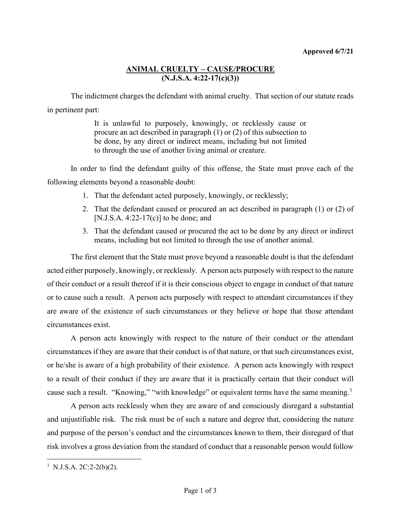## **ANIMAL CRUELTY – CAUSE/PROCURE (N.J.S.A. 4:22-17(c)(3))**

The indictment charges the defendant with animal cruelty. That section of our statute reads in pertinent part:

> It is unlawful to purposely, knowingly, or recklessly cause or procure an act described in paragraph (1) or (2) of this subsection to be done, by any direct or indirect means, including but not limited to through the use of another living animal or creature.

In order to find the defendant guilty of this offense, the State must prove each of the following elements beyond a reasonable doubt:

- 1. That the defendant acted purposely, knowingly, or recklessly;
- 2. That the defendant caused or procured an act described in paragraph (1) or (2) of [N.J.S.A. 4:22-17(c)] to be done; and
- 3. That the defendant caused or procured the act to be done by any direct or indirect means, including but not limited to through the use of another animal.

The first element that the State must prove beyond a reasonable doubt is that the defendant acted either purposely, knowingly, or recklessly. A person acts purposely with respect to the nature of their conduct or a result thereof if it is their conscious object to engage in conduct of that nature or to cause such a result. A person acts purposely with respect to attendant circumstances if they are aware of the existence of such circumstances or they believe or hope that those attendant circumstances exist.

A person acts knowingly with respect to the nature of their conduct or the attendant circumstances if they are aware that their conduct is of that nature, or that such circumstances exist, or he/she is aware of a high probability of their existence. A person acts knowingly with respect to a result of their conduct if they are aware that it is practically certain that their conduct will cause such a result. "Knowing," "with knowledge" or equivalent terms have the same meaning.<sup>[1](#page-0-0)</sup>

A person acts recklessly when they are aware of and consciously disregard a substantial and unjustifiable risk. The risk must be of such a nature and degree that, considering the nature and purpose of the person's conduct and the circumstances known to them, their disregard of that risk involves a gross deviation from the standard of conduct that a reasonable person would follow

<span id="page-0-0"></span><sup>&</sup>lt;sup>1</sup> N.J.S.A. 2C:2-2(b)(2).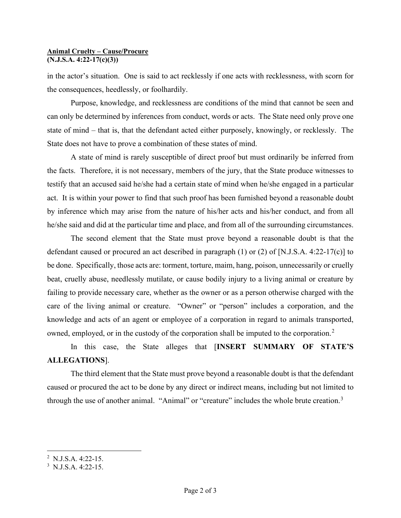## **Animal Cruelty – Cause/Procure (N.J.S.A. 4:22-17(c)(3))**

in the actor's situation. One is said to act recklessly if one acts with recklessness, with scorn for the consequences, heedlessly, or foolhardily.

Purpose, knowledge, and recklessness are conditions of the mind that cannot be seen and can only be determined by inferences from conduct, words or acts. The State need only prove one state of mind – that is, that the defendant acted either purposely, knowingly, or recklessly. The State does not have to prove a combination of these states of mind.

A state of mind is rarely susceptible of direct proof but must ordinarily be inferred from the facts. Therefore, it is not necessary, members of the jury, that the State produce witnesses to testify that an accused said he/she had a certain state of mind when he/she engaged in a particular act. It is within your power to find that such proof has been furnished beyond a reasonable doubt by inference which may arise from the nature of his/her acts and his/her conduct, and from all he/she said and did at the particular time and place, and from all of the surrounding circumstances.

The second element that the State must prove beyond a reasonable doubt is that the defendant caused or procured an act described in paragraph (1) or (2) of [N.J.S.A. 4:22-17(c)] to be done. Specifically, those acts are: torment, torture, maim, hang, poison, unnecessarily or cruelly beat, cruelly abuse, needlessly mutilate, or cause bodily injury to a living animal or creature by failing to provide necessary care, whether as the owner or as a person otherwise charged with the care of the living animal or creature. "Owner" or "person" includes a corporation, and the knowledge and acts of an agent or employee of a corporation in regard to animals transported, owned, employed, or in the custody of the corporation shall be imputed to the corporation.<sup>[2](#page-1-0)</sup>

In this case, the State alleges that [**INSERT SUMMARY OF STATE'S ALLEGATIONS**].

The third element that the State must prove beyond a reasonable doubt is that the defendant caused or procured the act to be done by any direct or indirect means, including but not limited to through the use of another animal. "Animal" or "creature" includes the whole brute creation.<sup>[3](#page-1-1)</sup>

<span id="page-1-0"></span><sup>&</sup>lt;sup>2</sup> N.J.S.A. 4:22-15.

<span id="page-1-1"></span> $3$  N.J.S.A. 4:22-15.